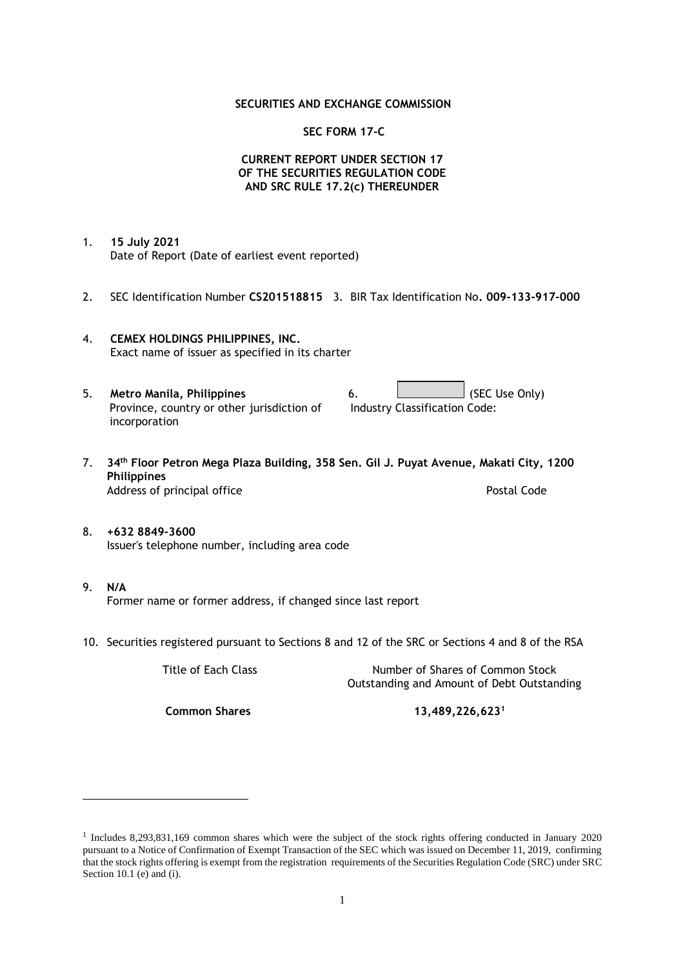### **SECURITIES AND EXCHANGE COMMISSION**

### **SEC FORM 17-C**

## **CURRENT REPORT UNDER SECTION 17 OF THE SECURITIES REGULATION CODE AND SRC RULE 17.2(c) THEREUNDER**

- 1. **15 July 2021** Date of Report (Date of earliest event reported)
- 2. SEC Identification Number **CS201518815** 3. BIR Tax Identification No**. 009-133-917-000**
- 4. **CEMEX HOLDINGS PHILIPPINES, INC.** Exact name of issuer as specified in its charter
- 5. **Metro Manila, Philippines** 6. **Consumers 6.** (SEC Use Only) Province, country or other jurisdiction of incorporation Industry Classification Code:
- 7. **34th Floor Petron Mega Plaza Building, 358 Sen. Gil J. Puyat Avenue, Makati City, 1200 Philippines** Address of principal office **Postal Code** Postal Code
- 8. **+632 8849-3600** Issuer's telephone number, including area code
- 9. **N/A** Former name or former address, if changed since last report
- 10. Securities registered pursuant to Sections 8 and 12 of the SRC or Sections 4 and 8 of the RSA

Title of Each Class Number of Shares of Common Stock Outstanding and Amount of Debt Outstanding

**Common Shares 13,489,226,623<sup>1</sup>**

<sup>1</sup> Includes 8,293,831,169 common shares which were the subject of the stock rights offering conducted in January 2020 pursuant to a Notice of Confirmation of Exempt Transaction of the SEC which was issued on December 11, 2019, confirming that the stock rights offering is exempt from the registration requirements of the Securities Regulation Code (SRC) under SRC Section 10.1 (e) and (i).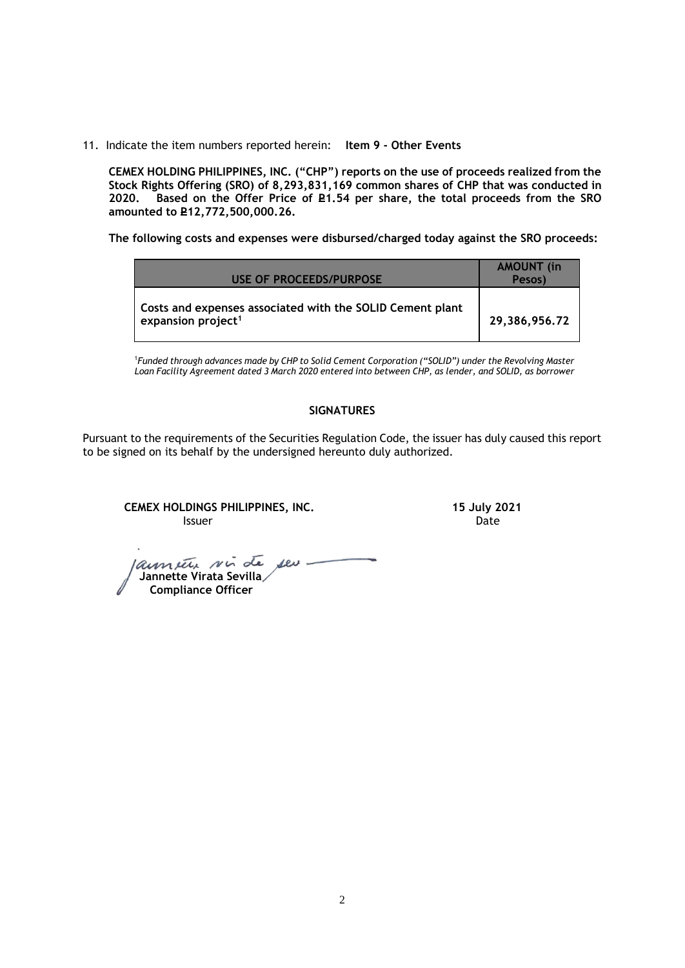11. Indicate the item numbers reported herein: **Item 9 - Other Events**

**CEMEX HOLDING PHILIPPINES, INC. ("CHP") reports on the use of proceeds realized from the Stock Rights Offering (SRO) of 8,293,831,169 common shares of CHP that was conducted in**  Based on the Offer Price of £1.54 per share, the total proceeds from the SRO **amounted to P12,772,500,000.26.** 

**The following costs and expenses were disbursed/charged today against the SRO proceeds:**

| USE OF PROCEEDS/PURPOSE                                                                     | <b>AMOUNT</b> (in<br>Pesos) |
|---------------------------------------------------------------------------------------------|-----------------------------|
| Costs and expenses associated with the SOLID Cement plant<br>expansion project <sup>1</sup> | 29,386,956.72               |

<sup>1</sup>*Funded through advances made by CHP to Solid Cement Corporation ("SOLID") under the Revolving Master Loan Facility Agreement dated 3 March 2020 entered into between CHP, as lender, and SOLID, as borrower*

## **SIGNATURES**

Pursuant to the requirements of the Securities Regulation Code, the issuer has duly caused this report to be signed on its behalf by the undersigned hereunto duly authorized.

**CEMEX HOLDINGS PHILIPPINES, INC. 15 July 2021 Issuer Date of the Community of the Community Community Community Community Community Community Community Community** 

launier vir de seu- **Jannette Virata Sevilla Compliance Officer**